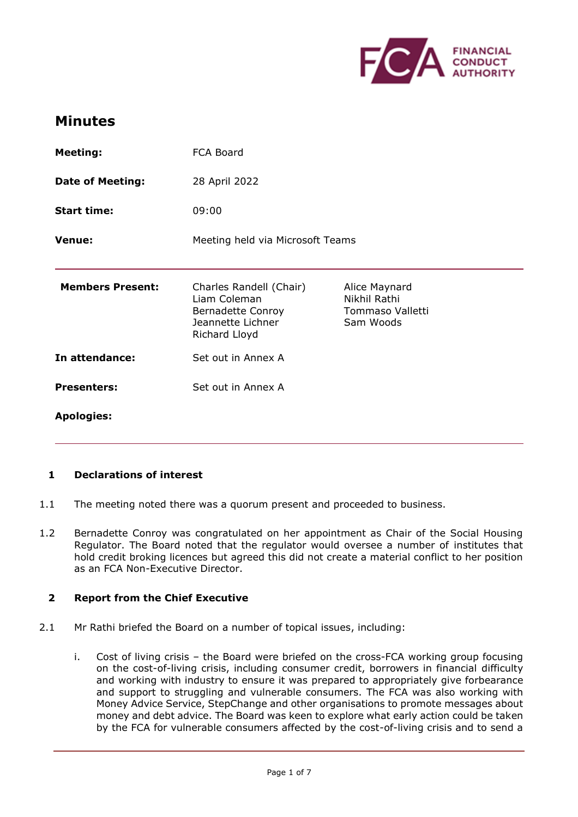

# **Minutes**

| <b>Meeting:</b>         | FCA Board                                                                                          |                                                                |
|-------------------------|----------------------------------------------------------------------------------------------------|----------------------------------------------------------------|
| <b>Date of Meeting:</b> | 28 April 2022                                                                                      |                                                                |
| <b>Start time:</b>      | 09:00                                                                                              |                                                                |
| <b>Venue:</b>           | Meeting held via Microsoft Teams                                                                   |                                                                |
| <b>Members Present:</b> | Charles Randell (Chair)<br>Liam Coleman<br>Bernadette Conroy<br>Jeannette Lichner<br>Richard Lloyd | Alice Maynard<br>Nikhil Rathi<br>Tommaso Valletti<br>Sam Woods |
| In attendance:          | Set out in Annex A                                                                                 |                                                                |
| <b>Presenters:</b>      | Set out in Annex A                                                                                 |                                                                |
| <b>Apologies:</b>       |                                                                                                    |                                                                |

# **1 Declarations of interest**

- 1.1 The meeting noted there was a quorum present and proceeded to business.
- 1.2 Bernadette Conroy was congratulated on her appointment as Chair of the Social Housing Regulator. The Board noted that the regulator would oversee a number of institutes that hold credit broking licences but agreed this did not create a material conflict to her position as an FCA Non-Executive Director.

#### **2 Report from the Chief Executive**

- 2.1 Mr Rathi briefed the Board on a number of topical issues, including:
	- i. Cost of living crisis the Board were briefed on the cross-FCA working group focusing on the cost-of-living crisis, including consumer credit, borrowers in financial difficulty and working with industry to ensure it was prepared to appropriately give forbearance and support to struggling and vulnerable consumers. The FCA was also working with Money Advice Service, StepChange and other organisations to promote messages about money and debt advice. The Board was keen to explore what early action could be taken by the FCA for vulnerable consumers affected by the cost-of-living crisis and to send a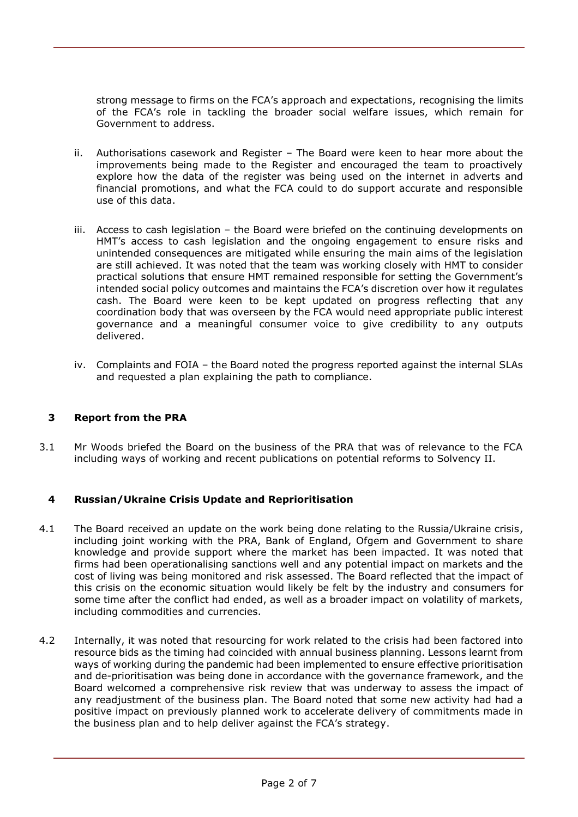strong message to firms on the FCA's approach and expectations, recognising the limits of the FCA's role in tackling the broader social welfare issues, which remain for Government to address.

- ii. Authorisations casework and Register The Board were keen to hear more about the improvements being made to the Register and encouraged the team to proactively explore how the data of the register was being used on the internet in adverts and financial promotions, and what the FCA could to do support accurate and responsible use of this data.
- iii. Access to cash legislation the Board were briefed on the continuing developments on HMT's access to cash legislation and the ongoing engagement to ensure risks and unintended consequences are mitigated while ensuring the main aims of the legislation are still achieved. It was noted that the team was working closely with HMT to consider practical solutions that ensure HMT remained responsible for setting the Government's intended social policy outcomes and maintains the FCA's discretion over how it regulates cash. The Board were keen to be kept updated on progress reflecting that any coordination body that was overseen by the FCA would need appropriate public interest governance and a meaningful consumer voice to give credibility to any outputs delivered.
- iv. Complaints and FOIA the Board noted the progress reported against the internal SLAs and requested a plan explaining the path to compliance.

# **3 Report from the PRA**

3.1 Mr Woods briefed the Board on the business of the PRA that was of relevance to the FCA including ways of working and recent publications on potential reforms to Solvency II.

# **4 Russian/Ukraine Crisis Update and Reprioritisation**

- 4.1 The Board received an update on the work being done relating to the Russia/Ukraine crisis, including joint working with the PRA, Bank of England, Ofgem and Government to share knowledge and provide support where the market has been impacted. It was noted that firms had been operationalising sanctions well and any potential impact on markets and the cost of living was being monitored and risk assessed. The Board reflected that the impact of this crisis on the economic situation would likely be felt by the industry and consumers for some time after the conflict had ended, as well as a broader impact on volatility of markets, including commodities and currencies.
- 4.2 Internally, it was noted that resourcing for work related to the crisis had been factored into resource bids as the timing had coincided with annual business planning. Lessons learnt from ways of working during the pandemic had been implemented to ensure effective prioritisation and de-prioritisation was being done in accordance with the governance framework, and the Board welcomed a comprehensive risk review that was underway to assess the impact of any readjustment of the business plan. The Board noted that some new activity had had a positive impact on previously planned work to accelerate delivery of commitments made in the business plan and to help deliver against the FCA's strategy.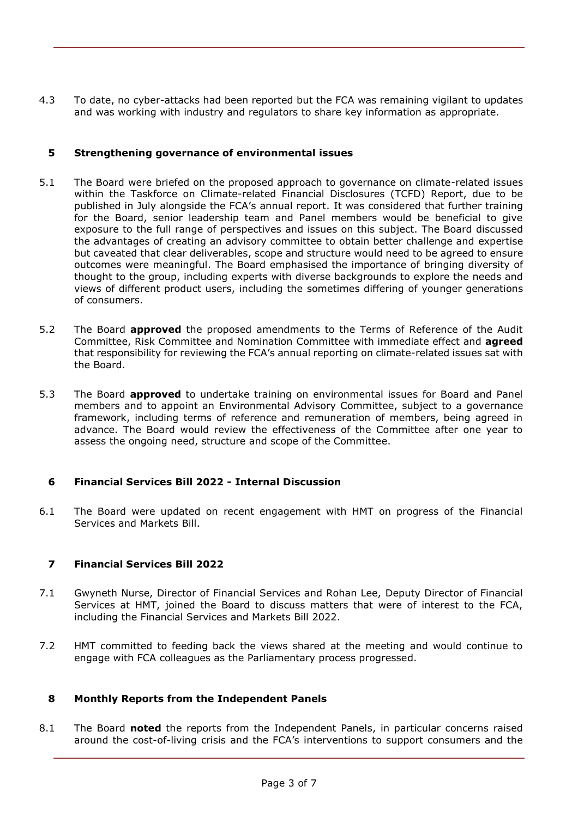4.3 To date, no cyber-attacks had been reported but the FCA was remaining vigilant to updates and was working with industry and regulators to share key information as appropriate.

#### **5 Strengthening governance of environmental issues**

- 5.1 The Board were briefed on the proposed approach to governance on climate-related issues within the Taskforce on Climate-related Financial Disclosures (TCFD) Report, due to be published in July alongside the FCA's annual report. It was considered that further training for the Board, senior leadership team and Panel members would be beneficial to give exposure to the full range of perspectives and issues on this subject. The Board discussed the advantages of creating an advisory committee to obtain better challenge and expertise but caveated that clear deliverables, scope and structure would need to be agreed to ensure outcomes were meaningful. The Board emphasised the importance of bringing diversity of thought to the group, including experts with diverse backgrounds to explore the needs and views of different product users, including the sometimes differing of younger generations of consumers.
- 5.2 The Board **approved** the proposed amendments to the Terms of Reference of the Audit Committee, Risk Committee and Nomination Committee with immediate effect and **agreed**  that responsibility for reviewing the FCA's annual reporting on climate-related issues sat with the Board.
- 5.3 The Board **approved** to undertake training on environmental issues for Board and Panel members and to appoint an Environmental Advisory Committee, subject to a governance framework, including terms of reference and remuneration of members, being agreed in advance. The Board would review the effectiveness of the Committee after one year to assess the ongoing need, structure and scope of the Committee.

# **6 Financial Services Bill 2022 - Internal Discussion**

6.1 The Board were updated on recent engagement with HMT on progress of the Financial Services and Markets Bill.

# **7 Financial Services Bill 2022**

- 7.1 Gwyneth Nurse, Director of Financial Services and Rohan Lee, Deputy Director of Financial Services at HMT, joined the Board to discuss matters that were of interest to the FCA, including the Financial Services and Markets Bill 2022.
- 7.2 HMT committed to feeding back the views shared at the meeting and would continue to engage with FCA colleagues as the Parliamentary process progressed.

#### **8 Monthly Reports from the Independent Panels**

8.1 The Board **noted** the reports from the Independent Panels, in particular concerns raised around the cost-of-living crisis and the FCA's interventions to support consumers and the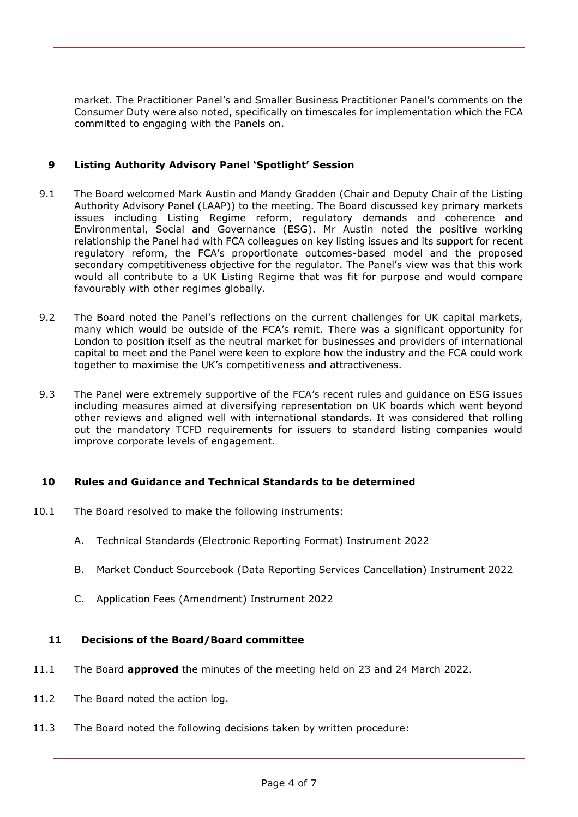market. The Practitioner Panel's and Smaller Business Practitioner Panel's comments on the Consumer Duty were also noted, specifically on timescales for implementation which the FCA committed to engaging with the Panels on.

# **9 Listing Authority Advisory Panel 'Spotlight' Session**

- 9.1 The Board welcomed Mark Austin and Mandy Gradden (Chair and Deputy Chair of the Listing Authority Advisory Panel (LAAP)) to the meeting. The Board discussed key primary markets issues including Listing Regime reform, regulatory demands and coherence and Environmental, Social and Governance (ESG). Mr Austin noted the positive working relationship the Panel had with FCA colleagues on key listing issues and its support for recent regulatory reform, the FCA's proportionate outcomes-based model and the proposed secondary competitiveness objective for the regulator. The Panel's view was that this work would all contribute to a UK Listing Regime that was fit for purpose and would compare favourably with other regimes globally.
- 9.2 The Board noted the Panel's reflections on the current challenges for UK capital markets, many which would be outside of the FCA's remit. There was a significant opportunity for London to position itself as the neutral market for businesses and providers of international capital to meet and the Panel were keen to explore how the industry and the FCA could work together to maximise the UK's competitiveness and attractiveness.
- 9.3 The Panel were extremely supportive of the FCA's recent rules and guidance on ESG issues including measures aimed at diversifying representation on UK boards which went beyond other reviews and aligned well with international standards. It was considered that rolling out the mandatory TCFD requirements for issuers to standard listing companies would improve corporate levels of engagement.

# **10 Rules and Guidance and Technical Standards to be determined**

- 10.1 The Board resolved to make the following instruments:
	- A. Technical Standards (Electronic Reporting Format) Instrument 2022
	- B. Market Conduct Sourcebook (Data Reporting Services Cancellation) Instrument 2022
	- C. Application Fees (Amendment) Instrument 2022

# **11 Decisions of the Board/Board committee**

- 11.1 The Board **approved** the minutes of the meeting held on 23 and 24 March 2022.
- 11.2 The Board noted the action log.
- 11.3 The Board noted the following decisions taken by written procedure: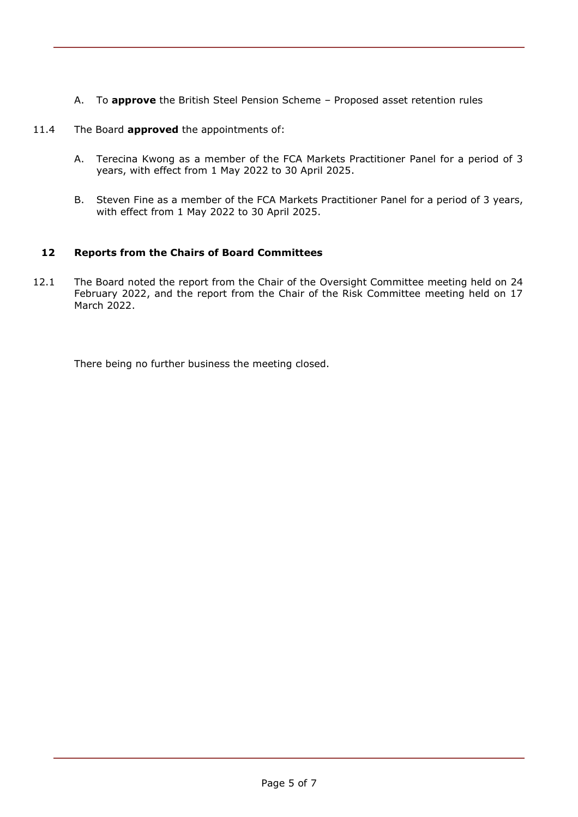A. To **approve** the British Steel Pension Scheme – Proposed asset retention rules

# 11.4 The Board **approved** the appointments of:

- A. Terecina Kwong as a member of the FCA Markets Practitioner Panel for a period of 3 years, with effect from 1 May 2022 to 30 April 2025.
- B. Steven Fine as a member of the FCA Markets Practitioner Panel for a period of 3 years, with effect from 1 May 2022 to 30 April 2025.

# **12 Reports from the Chairs of Board Committees**

12.1 The Board noted the report from the Chair of the Oversight Committee meeting held on 24 February 2022, and the report from the Chair of the Risk Committee meeting held on 17 March 2022.

There being no further business the meeting closed.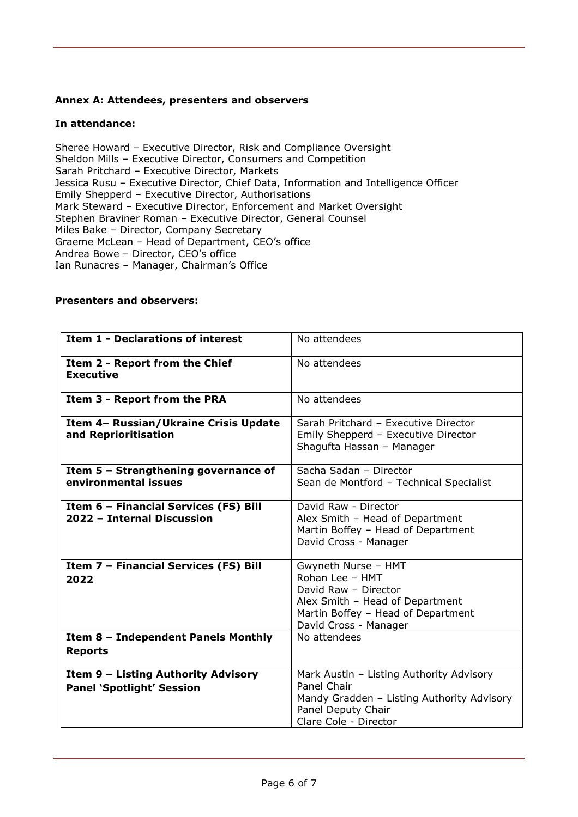#### **Annex A: Attendees, presenters and observers**

#### **In attendance:**

Sheree Howard – Executive Director, Risk and Compliance Oversight Sheldon Mills – Executive Director, Consumers and Competition Sarah Pritchard – Executive Director, Markets Jessica Rusu – Executive Director, Chief Data, Information and Intelligence Officer Emily Shepperd – Executive Director, Authorisations Mark Steward – Executive Director, Enforcement and Market Oversight Stephen Braviner Roman – Executive Director, General Counsel Miles Bake – Director, Company Secretary Graeme McLean – Head of Department, CEO's office Andrea Bowe – Director, CEO's office Ian Runacres – Manager, Chairman's Office

# **Presenters and observers:**

| <b>Item 1 - Declarations of interest</b>                                             | No attendees                                                                                                                                                                     |
|--------------------------------------------------------------------------------------|----------------------------------------------------------------------------------------------------------------------------------------------------------------------------------|
| Item 2 - Report from the Chief<br><b>Executive</b>                                   | No attendees                                                                                                                                                                     |
| Item 3 - Report from the PRA                                                         | No attendees                                                                                                                                                                     |
| Item 4- Russian/Ukraine Crisis Update<br>and Reprioritisation                        | Sarah Pritchard - Executive Director<br>Emily Shepperd - Executive Director<br>Shagufta Hassan - Manager                                                                         |
| Item 5 - Strengthening governance of<br>environmental issues                         | Sacha Sadan - Director<br>Sean de Montford - Technical Specialist                                                                                                                |
| Item 6 - Financial Services (FS) Bill<br>2022 - Internal Discussion                  | David Raw - Director<br>Alex Smith - Head of Department<br>Martin Boffey - Head of Department<br>David Cross - Manager                                                           |
| Item 7 - Financial Services (FS) Bill<br>2022<br>Item 8 - Independent Panels Monthly | Gwyneth Nurse - HMT<br>Rohan Lee - HMT<br>David Raw - Director<br>Alex Smith - Head of Department<br>Martin Boffey - Head of Department<br>David Cross - Manager<br>No attendees |
| <b>Reports</b>                                                                       |                                                                                                                                                                                  |
| Item 9 - Listing Authority Advisory<br><b>Panel 'Spotlight' Session</b>              | Mark Austin - Listing Authority Advisory<br>Panel Chair<br>Mandy Gradden - Listing Authority Advisory<br>Panel Deputy Chair<br>Clare Cole - Director                             |